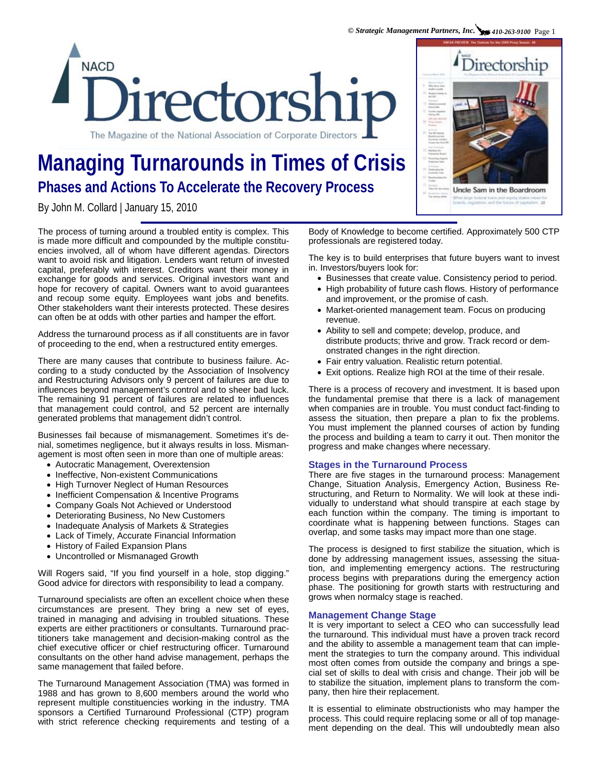

# **Managing Turnarounds in Times of Crisis Phases and Actions To Accelerate the Recovery Process**

By John M. Collard | January 15, 2010

The process of turning around a troubled entity is complex. This is made more difficult and compounded by the multiple constituencies involved, all of whom have different agendas. Directors want to avoid risk and litigation. Lenders want return of invested capital, preferably with interest. Creditors want their money in exchange for goods and services. Original investors want and hope for recovery of capital. Owners want to avoid guarantees and recoup some equity. Employees want jobs and benefits. Other stakeholders want their interests protected. These desires can often be at odds with other parties and hamper the effort.

Address the turnaround process as if all constituents are in favor of proceeding to the end, when a restructured entity emerges.

There are many causes that contribute to business failure. According to a study conducted by the Association of Insolvency and Restructuring Advisors only 9 percent of failures are due to influences beyond management's control and to sheer bad luck. The remaining 91 percent of failures are related to influences that management could control, and 52 percent are internally generated problems that management didn't control.

Businesses fail because of mismanagement. Sometimes it's denial, sometimes negligence, but it always results in loss. Mismanagement is most often seen in more than one of multiple areas:

- Autocratic Management, Overextension
- Ineffective, Non-existent Communications
- High Turnover Neglect of Human Resources
- Inefficient Compensation & Incentive Programs
- Company Goals Not Achieved or Understood
- Deteriorating Business, No New Customers
- Inadequate Analysis of Markets & Strategies
- Lack of Timely, Accurate Financial Information
- History of Failed Expansion Plans
- Uncontrolled or Mismanaged Growth

Will Rogers said, "If you find yourself in a hole, stop digging." Good advice for directors with responsibility to lead a company.

Turnaround specialists are often an excellent choice when these circumstances are present. They bring a new set of eyes, trained in managing and advising in troubled situations. These experts are either practitioners or consultants. Turnaround practitioners take management and decision-making control as the chief executive officer or chief restructuring officer. Turnaround consultants on the other hand advise management, perhaps the same management that failed before.

The Turnaround Management Association (TMA) was formed in 1988 and has grown to 8,600 members around the world who represent multiple constituencies working in the industry. TMA sponsors a Certified Turnaround Professional (CTP) program with strict reference checking requirements and testing of a

Body of Knowledge to become certified. Approximately 500 CTP professionals are registered today.

The key is to build enterprises that future buyers want to invest in. Investors/buyers look for:

- Businesses that create value. Consistency period to period.
- High probability of future cash flows. History of performance and improvement, or the promise of cash.
- Market-oriented management team. Focus on producing revenue.
- Ability to sell and compete; develop, produce, and distribute products; thrive and grow. Track record or demonstrated changes in the right direction.
- Fair entry valuation. Realistic return potential.
- Exit options. Realize high ROI at the time of their resale.

There is a process of recovery and investment. It is based upon the fundamental premise that there is a lack of management when companies are in trouble. You must conduct fact-finding to assess the situation, then prepare a plan to fix the problems. You must implement the planned courses of action by funding the process and building a team to carry it out. Then monitor the progress and make changes where necessary.

## **Stages in the Turnaround Process**

There are five stages in the turnaround process: Management Change, Situation Analysis, Emergency Action, Business Restructuring, and Return to Normality. We will look at these individually to understand what should transpire at each stage by each function within the company. The timing is important to coordinate what is happening between functions. Stages can overlap, and some tasks may impact more than one stage.

The process is designed to first stabilize the situation, which is done by addressing management issues, assessing the situation, and implementing emergency actions. The restructuring process begins with preparations during the emergency action phase. The positioning for growth starts with restructuring and grows when normalcy stage is reached.

### **Management Change Stage**

It is very important to select a CEO who can successfully lead the turnaround. This individual must have a proven track record and the ability to assemble a management team that can implement the strategies to turn the company around. This individual most often comes from outside the company and brings a special set of skills to deal with crisis and change. Their job will be to stabilize the situation, implement plans to transform the company, then hire their replacement.

It is essential to eliminate obstructionists who may hamper the process. This could require replacing some or all of top management depending on the deal. This will undoubtedly mean also